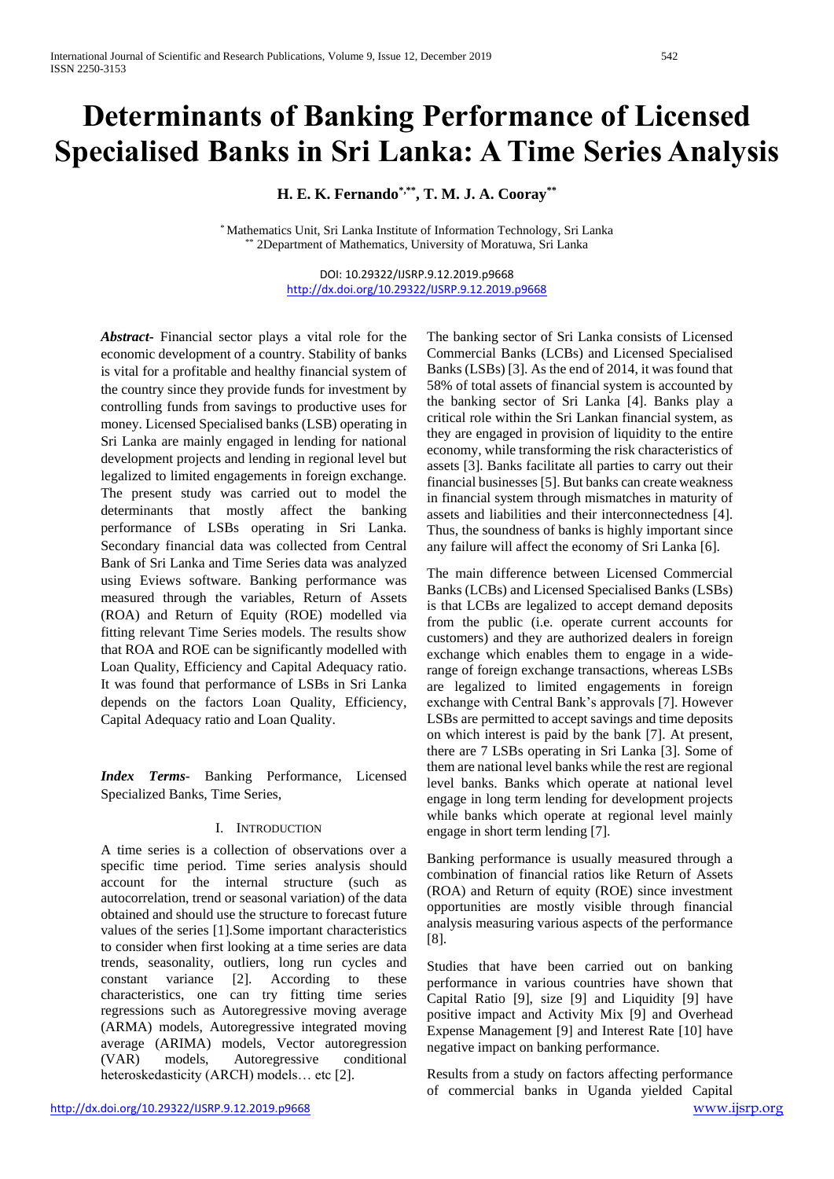# **Determinants of Banking Performance of Licensed Specialised Banks in Sri Lanka: A Time Series Analysis**

**H. E. K. Fernando\*,\*\*, T. M. J. A. Cooray\*\***

\* Mathematics Unit, Sri Lanka Institute of Information Technology, Sri Lanka 2Department of Mathematics, University of Moratuwa, Sri Lanka

> DOI: 10.29322/IJSRP.9.12.2019.p9668 <http://dx.doi.org/10.29322/IJSRP.9.12.2019.p9668>

*Abstract***-** Financial sector plays a vital role for the economic development of a country. Stability of banks is vital for a profitable and healthy financial system of the country since they provide funds for investment by controlling funds from savings to productive uses for money. Licensed Specialised banks (LSB) operating in Sri Lanka are mainly engaged in lending for national development projects and lending in regional level but legalized to limited engagements in foreign exchange. The present study was carried out to model the determinants that mostly affect the banking performance of LSBs operating in Sri Lanka. Secondary financial data was collected from Central Bank of Sri Lanka and Time Series data was analyzed using Eviews software. Banking performance was measured through the variables, Return of Assets (ROA) and Return of Equity (ROE) modelled via fitting relevant Time Series models. The results show that ROA and ROE can be significantly modelled with Loan Quality, Efficiency and Capital Adequacy ratio. It was found that performance of LSBs in Sri Lanka depends on the factors Loan Quality, Efficiency, Capital Adequacy ratio and Loan Quality.

*Index Terms*- Banking Performance, Licensed Specialized Banks, Time Series,

## I. INTRODUCTION

A time series is a collection of observations over a specific time period. Time series analysis should account for the internal structure (such as autocorrelation, trend or seasonal variation) of the data obtained and should use the structure to forecast future values of the series [1].Some important characteristics to consider when first looking at a time series are data trends, seasonality, outliers, long run cycles and constant variance [2]. According to these characteristics, one can try fitting time series regressions such as Autoregressive moving average (ARMA) models, Autoregressive integrated moving average (ARIMA) models, Vector autoregression (VAR) models, Autoregressive conditional heteroskedasticity (ARCH) models... etc [2].

The banking sector of Sri Lanka consists of Licensed Commercial Banks (LCBs) and Licensed Specialised Banks (LSBs) [3]. As the end of 2014, it was found that 58% of total assets of financial system is accounted by the banking sector of Sri Lanka [4]. Banks play a critical role within the Sri Lankan financial system, as they are engaged in provision of liquidity to the entire economy, while transforming the risk characteristics of assets [3]. Banks facilitate all parties to carry out their financial businesses [5]. But banks can create weakness in financial system through mismatches in maturity of assets and liabilities and their interconnectedness [4]. Thus, the soundness of banks is highly important since any failure will affect the economy of Sri Lanka [6].

The main difference between Licensed Commercial Banks (LCBs) and Licensed Specialised Banks (LSBs) is that LCBs are legalized to accept demand deposits from the public (i.e. operate current accounts for customers) and they are authorized dealers in foreign exchange which enables them to engage in a widerange of foreign exchange transactions, whereas LSBs are legalized to limited engagements in foreign exchange with Central Bank's approvals [7]. However LSBs are permitted to accept savings and time deposits on which interest is paid by the bank [7]. At present, there are 7 LSBs operating in Sri Lanka [3]. Some of them are national level banks while the rest are regional level banks. Banks which operate at national level engage in long term lending for development projects while banks which operate at regional level mainly engage in short term lending [7].

Banking performance is usually measured through a combination of financial ratios like Return of Assets (ROA) and Return of equity (ROE) since investment opportunities are mostly visible through financial analysis measuring various aspects of the performance [8].

Studies that have been carried out on banking performance in various countries have shown that Capital Ratio [9], size [9] and Liquidity [9] have positive impact and Activity Mix [9] and Overhead Expense Management [9] and Interest Rate [10] have negative impact on banking performance.

Results from a study on factors affecting performance of commercial banks in Uganda yielded Capital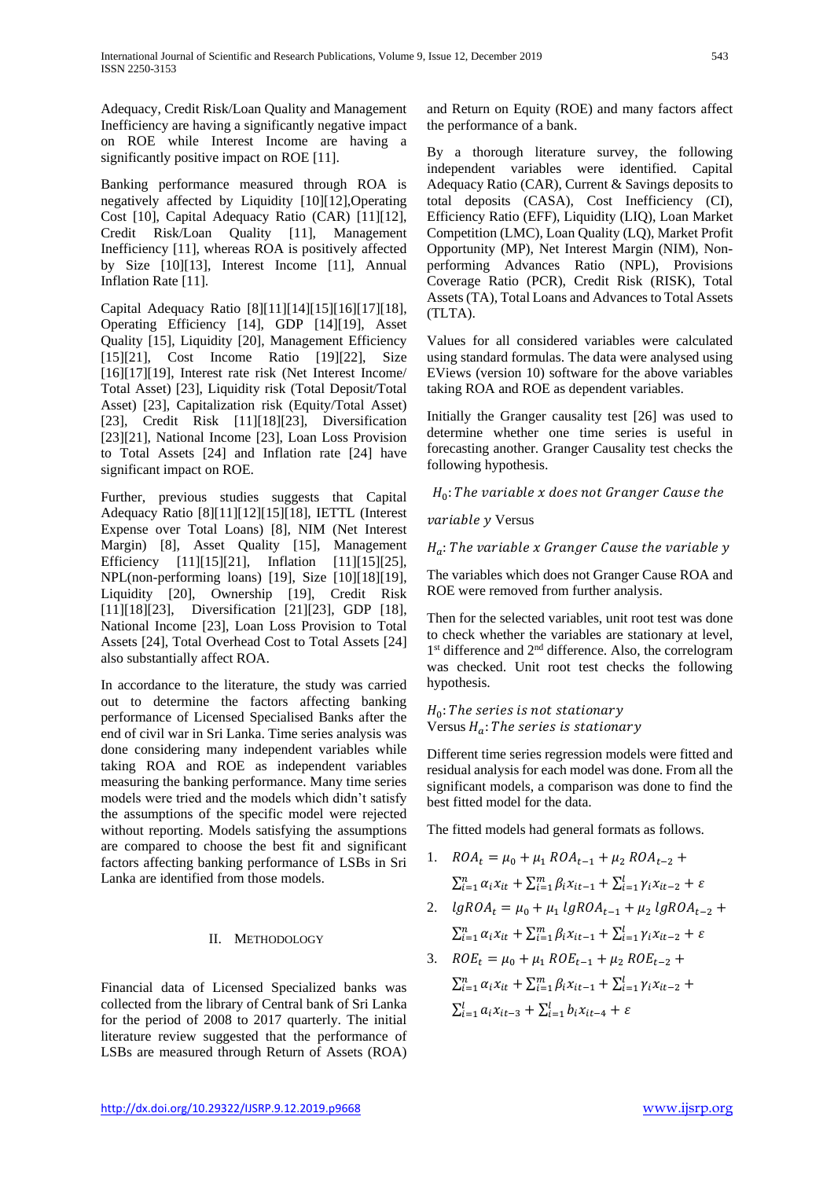Adequacy, Credit Risk/Loan Quality and Management Inefficiency are having a significantly negative impact on ROE while Interest Income are having a significantly positive impact on ROE [11].

Banking performance measured through ROA is negatively affected by Liquidity [10][12],Operating Cost [10], Capital Adequacy Ratio (CAR) [11][12], Credit Risk/Loan Quality [11], Management Inefficiency [11], whereas ROA is positively affected by Size [10][13], Interest Income [11], Annual Inflation Rate [11].

Capital Adequacy Ratio [8][11][14][15][16][17][18], Operating Efficiency [14], GDP [14][19], Asset Quality [15], Liquidity [20], Management Efficiency [15][21], Cost Income Ratio [19][22], Size [16][17][19], Interest rate risk (Net Interest Income/ Total Asset) [23], Liquidity risk (Total Deposit/Total Asset) [23], Capitalization risk (Equity/Total Asset) [23], Credit Risk [11][18][23], Diversification [23][21], National Income [23], Loan Loss Provision to Total Assets [24] and Inflation rate [24] have significant impact on ROE.

Further, previous studies suggests that Capital Adequacy Ratio [8][11][12][15][18], IETTL (Interest Expense over Total Loans) [8], NIM (Net Interest Margin) [8], Asset Quality [15], Management Efficiency [11][15][21], Inflation [11][15][25], NPL(non-performing loans) [19], Size [10][18][19], Liquidity [20], Ownership [19], Credit Risk [11][18][23], Diversification [21][23], GDP [18], National Income [23], Loan Loss Provision to Total Assets [24], Total Overhead Cost to Total Assets [24] also substantially affect ROA.

In accordance to the literature, the study was carried out to determine the factors affecting banking performance of Licensed Specialised Banks after the end of civil war in Sri Lanka. Time series analysis was done considering many independent variables while taking ROA and ROE as independent variables measuring the banking performance. Many time series models were tried and the models which didn't satisfy the assumptions of the specific model were rejected without reporting. Models satisfying the assumptions are compared to choose the best fit and significant factors affecting banking performance of LSBs in Sri Lanka are identified from those models.

## II. METHODOLOGY

Financial data of Licensed Specialized banks was collected from the library of Central bank of Sri Lanka for the period of 2008 to 2017 quarterly. The initial literature review suggested that the performance of LSBs are measured through Return of Assets (ROA)

and Return on Equity (ROE) and many factors affect the performance of a bank.

By a thorough literature survey, the following independent variables were identified. Capital Adequacy Ratio (CAR), Current & Savings deposits to total deposits (CASA), Cost Inefficiency (CI), Efficiency Ratio (EFF), Liquidity (LIQ), Loan Market Competition (LMC), Loan Quality (LQ), Market Profit Opportunity (MP), Net Interest Margin (NIM), Nonperforming Advances Ratio (NPL), Provisions Coverage Ratio (PCR), Credit Risk (RISK), Total Assets (TA), Total Loans and Advances to Total Assets (TLTA).

Values for all considered variables were calculated using standard formulas. The data were analysed using EViews (version 10) software for the above variables taking ROA and ROE as dependent variables.

Initially the Granger causality test [26] was used to determine whether one time series is useful in forecasting another. Granger Causality test checks the following hypothesis.

 $H_0$ : The variable  $x$  does not Granger Cause the

variable y Versus

 $H_a$ : The variable x Granger Cause the variable y

The variables which does not Granger Cause ROA and ROE were removed from further analysis.

Then for the selected variables, unit root test was done to check whether the variables are stationary at level, 1<sup>st</sup> difference and 2<sup>nd</sup> difference. Also, the correlogram was checked. Unit root test checks the following hypothesis.

 $H_0$ : The series is not stationary Versus  $H_a$ : The series is stationary

Different time series regression models were fitted and residual analysis for each model was done. From all the significant models, a comparison was done to find the best fitted model for the data.

The fitted models had general formats as follows.

- 1.  $ROA_t = \mu_0 + \mu_1 ROA_{t-1} + \mu_2 ROA_{t-2}$  $\sum_{i=1}^{n} \alpha_i x_{it} + \sum_{i=1}^{m} \beta_i x_{it-1} + \sum_{i=1}^{l} \gamma_i x_{it-2} + \varepsilon$
- 2.  $lgROA_t = \mu_0 + \mu_1 lgROA_{t-1} + \mu_2 lgROA_{t-2} +$  $\sum_{i=1}^{n} \alpha_i x_{it} + \sum_{i=1}^{m} \beta_i x_{it-1} + \sum_{i=1}^{l} \gamma_i x_{it-2} + \varepsilon$

3. 
$$
ROE_t = \mu_0 + \mu_1 ROE_{t-1} + \mu_2 ROE_{t-2} +
$$

$$
\sum_{i=1}^{n} \alpha_i x_{it} + \sum_{i=1}^{m} \beta_i x_{it-1} + \sum_{i=1}^{l} \gamma_i x_{it-2} +
$$
  

$$
\sum_{i=1}^{l} \alpha_i x_{it-3} + \sum_{i=1}^{l} b_i x_{it-4} + \varepsilon
$$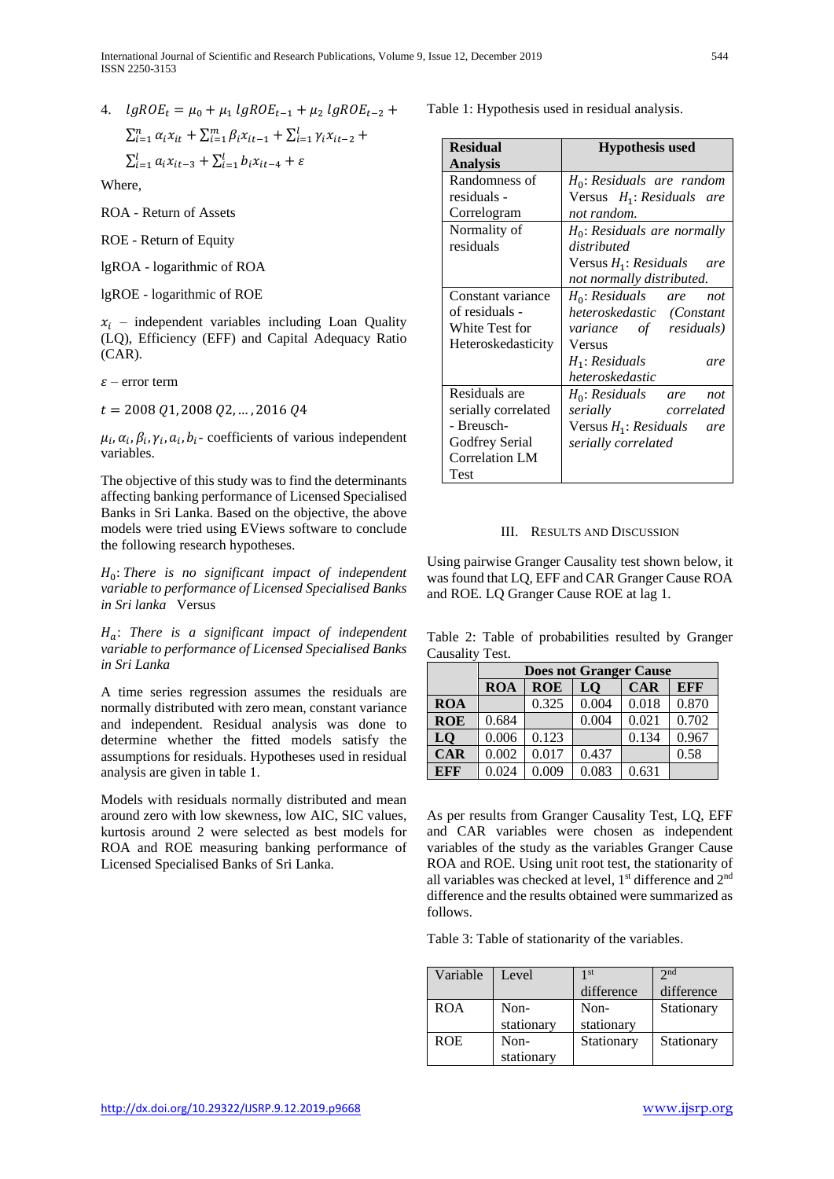4.  $lgROE_t = \mu_0 + \mu_1 lgROE_{t-1} + \mu_2 lgROE_{t-2} +$  $\sum_{i=1}^{n} \alpha_i x_{it} + \sum_{i=1}^{m} \beta_i x_{it-1} + \sum_{i=1}^{l} \gamma_i x_{it-2} +$ 

$$
\sum_{i=1}^{l} a_i x_{it-3} + \sum_{i=1}^{l} b_i x_{it-4} + \varepsilon
$$

Where,

ROA - Return of Assets

ROE - Return of Equity

lgROA - logarithmic of ROA

lgROE - logarithmic of ROE

 $x_i$  – independent variables including Loan Quality (LQ), Efficiency (EFF) and Capital Adequacy Ratio (CAR).

 $\varepsilon$  – error term

 $t = 2008 Q1, 2008 Q2, ..., 2016 Q4$ 

 $\mu_i$ ,  $\alpha_i$ ,  $\beta_i$ ,  $\gamma_i$ ,  $a_i$ ,  $b_i$ - coefficients of various independent variables.

The objective of this study was to find the determinants affecting banking performance of Licensed Specialised Banks in Sri Lanka. Based on the objective, the above models were tried using EViews software to conclude the following research hypotheses.

H<sub>0</sub>: There is no significant impact of independent *variable to performance of Licensed Specialised Banks in Sri lanka* Versus

: *There is a significant impact of independent variable to performance of Licensed Specialised Banks in Sri Lanka*

A time series regression assumes the residuals are normally distributed with zero mean, constant variance and independent. Residual analysis was done to determine whether the fitted models satisfy the assumptions for residuals. Hypotheses used in residual analysis are given in table 1.

Models with residuals normally distributed and mean around zero with low skewness, low AIC, SIC values, kurtosis around 2 were selected as best models for ROA and ROE measuring banking performance of Licensed Specialised Banks of Sri Lanka.

Table 1: Hypothesis used in residual analysis.

| <b>Residual</b>       | <b>Hypothesis used</b>          |
|-----------------------|---------------------------------|
| <b>Analysis</b>       |                                 |
| Randomness of         | $H_0$ : Residuals are random    |
| residuals -           | Versus $H_1$ : Residuals are    |
| Correlogram           | not random.                     |
| Normality of          | $H_0$ : Residuals are normally  |
| residuals             | distributed                     |
|                       | Versus $H_1$ : Residuals<br>are |
|                       | not normally distributed.       |
| Constant variance     | $H_0$ : Residuals are<br>not    |
| of residuals -        | heteroskedastic (Constant       |
| White Test for        | variance of residuals)          |
| Heteroskedasticity    | Versus                          |
|                       | $H_1$ : Residuals<br>are        |
|                       | heteroskedastic                 |
| Residuals are         | $H_0$ : Residuals are<br>not    |
| serially correlated   | serially<br>correlated          |
| - Breusch-            | Versus $H_1$ : Residuals<br>are |
| Godfrey Serial        | serially correlated             |
| <b>Correlation LM</b> |                                 |
| Test                  |                                 |

## III. RESULTS AND DISCUSSION

Using pairwise Granger Causality test shown below, it was found that LQ, EFF and CAR Granger Cause ROA and ROE. LQ Granger Cause ROE at lag 1.

Table 2: Table of probabilities resulted by Granger Causality Test.

|            | <b>Does not Granger Cause</b> |            |       |            |            |
|------------|-------------------------------|------------|-------|------------|------------|
|            | <b>ROA</b>                    | <b>ROE</b> | LQ    | <b>CAR</b> | <b>EFF</b> |
| <b>ROA</b> |                               | 0.325      | 0.004 | 0.018      | 0.870      |
| <b>ROE</b> | 0.684                         |            | 0.004 | 0.021      | 0.702      |
| LQ         | 0.006                         | 0.123      |       | 0.134      | 0.967      |
| <b>CAR</b> | 0.002                         | 0.017      | 0.437 |            | 0.58       |
| <b>EFF</b> | 0.024                         | 0.009      | 0.083 | 0.631      |            |

As per results from Granger Causality Test, LQ, EFF and CAR variables were chosen as independent variables of the study as the variables Granger Cause ROA and ROE. Using unit root test, the stationarity of all variables was checked at level,  $1<sup>st</sup>$  difference and  $2<sup>nd</sup>$ difference and the results obtained were summarized as follows.

Table 3: Table of stationarity of the variables.

| Variable   | Level      | 1 <sup>st</sup> | 2 <sub>nd</sub> |
|------------|------------|-----------------|-----------------|
|            |            | difference      | difference      |
| <b>ROA</b> | Non-       | Non-            | Stationary      |
|            | stationary | stationary      |                 |
| <b>ROE</b> | Non-       | Stationary      | Stationary      |
|            | stationary |                 |                 |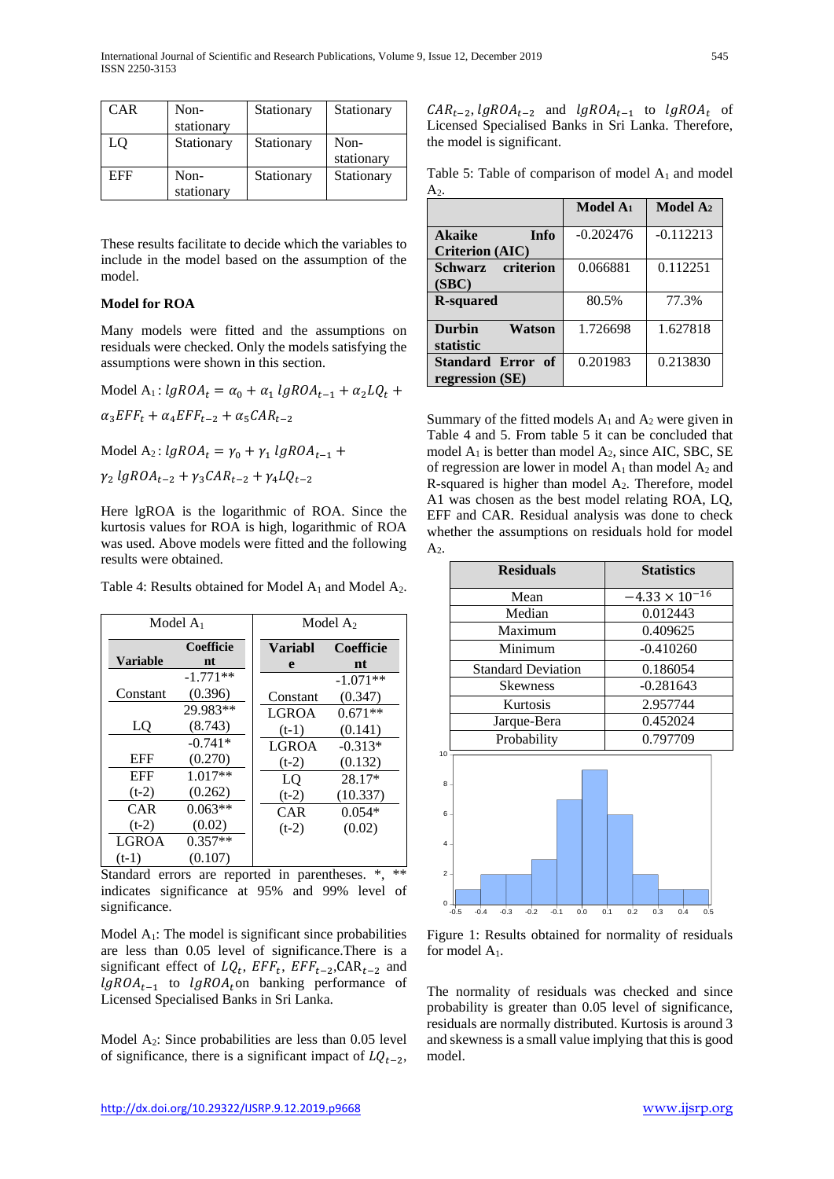| <b>CAR</b> | Non-               | Stationary | Stationary         |
|------------|--------------------|------------|--------------------|
|            | stationary         |            |                    |
| LQ         | Stationary         | Stationary | Non-<br>stationary |
| EFF        | Non-<br>stationary | Stationary | Stationary         |

These results facilitate to decide which the variables to include in the model based on the assumption of the model.

# **Model for ROA**

Many models were fitted and the assumptions on residuals were checked. Only the models satisfying the assumptions were shown in this section.

Model A<sub>1</sub>:  $lgROA_t = \alpha_0 + \alpha_1 lgROA_{t-1} + \alpha_2 LQ_t +$  $\alpha_3 EFF_t + \alpha_4 EFF_{t-2} + \alpha_5 CAR_{t-2}$ Model  $A_2$ :  $lgROA_t = \gamma_0 + \gamma_1 lgROA_{t-1} +$ 

 $\gamma_2$  lgROA<sub>t-2</sub> +  $\gamma_3$ CAR<sub>t-2</sub> +  $\gamma_4 LQ_{t-2}$ 

Here lgROA is the logarithmic of ROA. Since the kurtosis values for ROA is high, logarithmic of ROA was used. Above models were fitted and the following results were obtained.

Table 4: Results obtained for Model  $A_1$  and Model  $A_2$ .

|                  | Model $A_1$            |                          | Model $A_2$          |
|------------------|------------------------|--------------------------|----------------------|
| Variable         | <b>Coefficie</b><br>nt | Variabl                  | <b>Coefficie</b>     |
|                  | $-1.771**$             | e                        | nt<br>$-1.071**$     |
| Constant         | (0.396)<br>29.983**    | Constant<br><b>LGROA</b> | (0.347)<br>$0.671**$ |
| LO               | (8.743)<br>$-0.741*$   | $(t-1)$                  | (0.141)              |
| <b>EFF</b>       | (0.270)                | <b>LGROA</b><br>$(t-2)$  | $-0.313*$<br>(0.132) |
| EFF<br>$(t-2)$   | $1.017**$<br>(0.262)   | LO<br>$(t-2)$            | 28.17*<br>(10.337)   |
| <b>CAR</b>       | $0.063**$              | CAR                      | $0.054*$             |
| $(t-2)$<br>LGROA | (0.02)<br>$0.357**$    | $(t-2)$                  | (0.02)               |
| $(t-1)$          | (0.107)                |                          |                      |

Standard errors are reported in parentheses. \*, \*\* indicates significance at 95% and 99% level of significance.

Model  $A_1$ : The model is significant since probabilities are less than 0.05 level of significance.There is a significant effect of  $LQ_t$ ,  $EFF_t$ ,  $EFF_{t-2}$ ,  $CAR_{t-2}$  and  $lgROA_{t-1}$  to  $lgROA_t$  on banking performance of Licensed Specialised Banks in Sri Lanka.

Model A<sub>2</sub>: Since probabilities are less than 0.05 level of significance, there is a significant impact of  $LQ_{t-2}$ ,

 $CAR_{t-2}$ ,  $lgROA_{t-2}$  and  $lgROA_{t-1}$  to  $lgROA_t$  of Licensed Specialised Banks in Sri Lanka. Therefore, the model is significant.

Table 5: Table of comparison of model  $A_1$  and model  $A<sub>2</sub>$ .

|                                      | Model A <sub>1</sub> | <b>Model</b> $A_2$ |
|--------------------------------------|----------------------|--------------------|
| <b>Akaike</b><br><b>Info</b>         | $-0.202476$          | $-0.112213$        |
| <b>Criterion (AIC)</b>               |                      |                    |
| Schwarz criterion                    | 0.066881             | 0.112251           |
| (SBC)                                |                      |                    |
| <b>R-squared</b>                     | 80.5%                | 77.3%              |
| <b>Durbin</b><br>Watson<br>statistic | 1.726698             | 1.627818           |
| Standard Error of<br>regression (SE) | 0.201983             | 0.213830           |

Summary of the fitted models  $A_1$  and  $A_2$  were given in Table 4 and 5. From table 5 it can be concluded that model  $A_1$  is better than model  $A_2$ , since AIC, SBC, SE of regression are lower in model  $A_1$  than model  $A_2$  and R-squared is higher than model  $A_2$ . Therefore, model A1 was chosen as the best model relating ROA, LQ, EFF and CAR. Residual analysis was done to check whether the assumptions on residuals hold for model  $A<sub>2</sub>$ .

|                 | <b>Residuals</b>          | <b>Statistics</b>       |  |
|-----------------|---------------------------|-------------------------|--|
|                 | Mean                      | $-4.33 \times 10^{-16}$ |  |
|                 | Median                    | 0.012443                |  |
|                 | Maximum                   | 0.409625                |  |
|                 | Minimum                   | $-0.410260$             |  |
|                 | <b>Standard Deviation</b> | 0.186054                |  |
|                 | <b>Skewness</b>           | $-0.281643$             |  |
|                 | Kurtosis                  | 2.957744                |  |
|                 | Jarque-Bera               | 0.452024                |  |
|                 | Probability               | 0.797709                |  |
| 10 <sup>1</sup> |                           |                         |  |
| 8               |                           |                         |  |
| 6.              |                           |                         |  |
| 4               |                           |                         |  |
| 2.              |                           |                         |  |

Figure 1: Results obtained for normality of residuals for model A1.

-0.5 -0.4 -0.3 -0.2 -0.1 0.0 0.1 0.2 0.3 0.4 0.5

0

The normality of residuals was checked and since probability is greater than 0.05 level of significance, residuals are normally distributed. Kurtosis is around 3 and skewness is a small value implying that this is good model.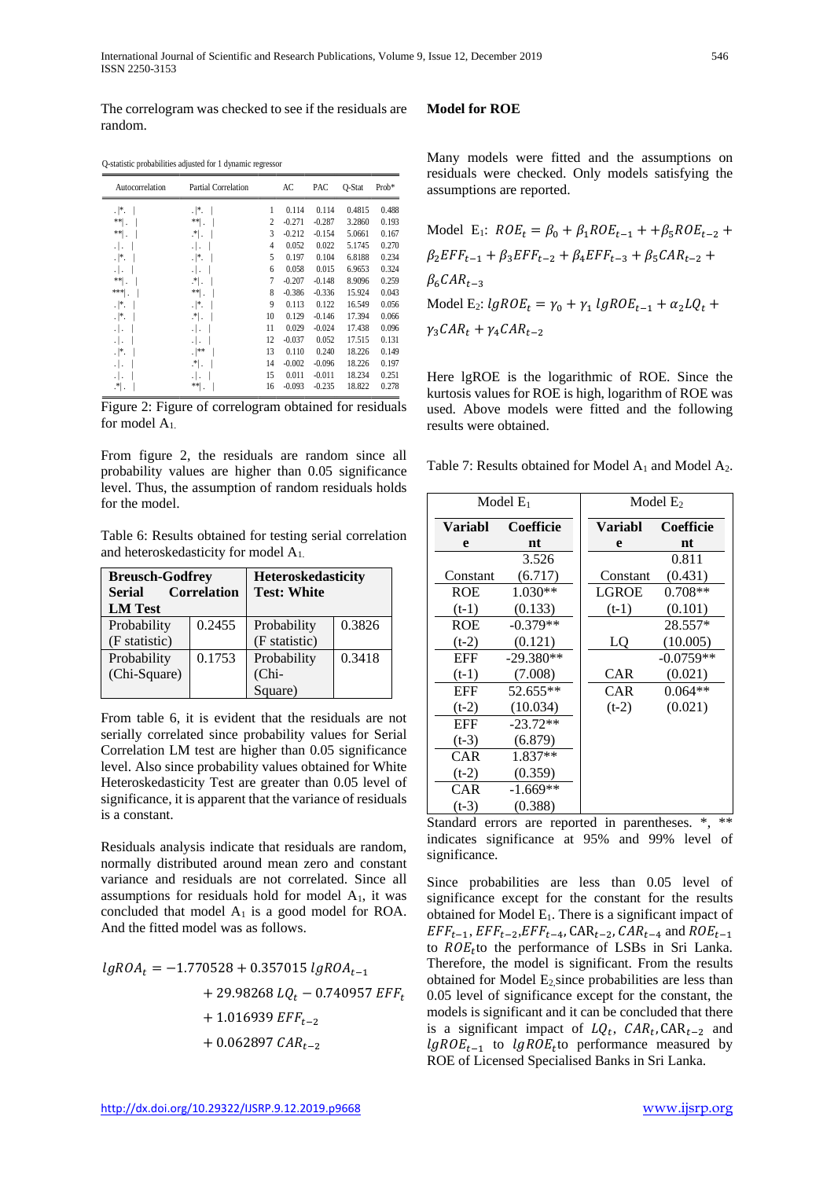The correlogram was checked to see if the residuals are random.

Q-statistic probabilities adjusted for 1 dynamic regressor

| Autocorrelation | <b>Partial Correlation</b>   |    | AC       | PAC      | O-Stat | $Prob*$ |
|-----------------|------------------------------|----|----------|----------|--------|---------|
| $ $ .           | $.  *.$                      | 1  | 0.114    | 0.114    | 0.4815 | 0.488   |
| $**$ .          | ** .                         | 2  | $-0.271$ | $-0.287$ | 3.2860 | 0.193   |
| **∣.            | $\cdot$ * $\cdot$            | 3  | $-0.212$ | $-0.154$ | 5.0661 | 0.167   |
| ٠١.             | .   .                        | 4  | 0.052    | 0.022    | 5.1745 | 0.270   |
| $\cdot  $ *.    | $.  *.$                      | 5  | 0.197    | 0.104    | 6.8188 | 0.234   |
| ٠١.             | .   .                        | 6  | 0.058    | 0.015    | 6.9653 | 0.324   |
| $\ast\ast$      | $\cdot^*$ .                  | 7  | $-0.207$ | $-0.148$ | 8.9096 | 0.259   |
| ***             | $**$ .                       | 8  | $-0.386$ | $-0.336$ | 15.924 | 0.043   |
| $\cdot  $ *.    | .∤*.                         | 9  | 0.113    | 0.122    | 16.549 | 0.056   |
| $\cdot  $ *.    | $\cdot^*$ .                  | 10 | 0.129    | $-0.146$ | 17.394 | 0.066   |
| ٠١.             | .                            | 11 | 0.029    | $-0.024$ | 17.438 | 0.096   |
| ٠١.             | .   .                        | 12 | $-0.037$ | 0.052    | 17.515 | 0.131   |
| .∦.             | .  **                        | 13 | 0.110    | 0.240    | 18.226 | 0.149   |
| ٠١.             | $\cdot^*$ .                  | 14 | $-0.002$ | $-0.096$ | 18.226 | 0.197   |
| ٠١.             | .                            | 15 | 0.011    | $-0.011$ | 18.234 | 0.251   |
| $\cdot^*$ .     | $**$<br>$\ddot{\phantom{0}}$ | 16 | $-0.093$ | $-0.235$ | 18.822 | 0.278   |

Figure 2: Figure of correlogram obtained for residuals for model A1.

From figure 2, the residuals are random since all probability values are higher than 0.05 significance level. Thus, the assumption of random residuals holds for the model.

Table 6: Results obtained for testing serial correlation and heteroskedasticity for model A1.

| <b>Breusch-Godfrey</b><br><b>Serial</b><br><b>LM</b> Test | <b>Correlation</b> | Heteroskedasticity<br><b>Test: White</b> |        |
|-----------------------------------------------------------|--------------------|------------------------------------------|--------|
| Probability                                               | 0.2455             | Probability                              | 0.3826 |
| (F statistic)                                             |                    | (F statistic)                            |        |
| Probability                                               | 0.1753             | Probability                              | 0.3418 |
| (Chi-Square)                                              |                    | $(Chi-$                                  |        |
|                                                           |                    | Square)                                  |        |

From table 6, it is evident that the residuals are not serially correlated since probability values for Serial Correlation LM test are higher than 0.05 significance level. Also since probability values obtained for White Heteroskedasticity Test are greater than 0.05 level of significance, it is apparent that the variance of residuals is a constant.

Residuals analysis indicate that residuals are random, normally distributed around mean zero and constant variance and residuals are not correlated. Since all assumptions for residuals hold for model  $A<sub>1</sub>$ , it was concluded that model  $A_1$  is a good model for ROA. And the fitted model was as follows.

$$
lgROA_t = -1.770528 + 0.357015 lgROA_{t-1}
$$
  
+ 29.98268 LQ<sub>t</sub> - 0.740957 EFF<sub>t</sub>  
+ 1.016939 EFF<sub>t-2</sub>  
+ 0.062897 CAR<sub>t-2</sub>

## **Model for ROE**

Many models were fitted and the assumptions on residuals were checked. Only models satisfying the assumptions are reported.

Model E<sub>1</sub>:  $ROE_t = \beta_0 + \beta_1 ROE_{t-1} + \beta_5 ROE_{t-2}$  +  $\beta_2 EFF_{t-1} + \beta_3 EFF_{t-2} + \beta_4 EFF_{t-3} + \beta_5 CAR_{t-2} +$  $\beta_6CAR_{t-3}$ Model E<sub>2</sub>:  $lgROE_t = \gamma_0 + \gamma_1 lgROE_{t-1} + \alpha_2 LQ_t +$  $\gamma_3$ CAR<sub>t</sub> +  $\gamma_4$ CAR<sub>t-2</sub>

Here lgROE is the logarithmic of ROE. Since the kurtosis values for ROE is high, logarithm of ROE was used. Above models were fitted and the following results were obtained.

Table 7: Results obtained for Model  $A_1$  and Model  $A_2$ .

|            | Model $E_1$      |                | Model $E_2$ |
|------------|------------------|----------------|-------------|
| Variabl    | <b>Coefficie</b> | <b>Variabl</b> | Coefficie   |
| e          | nt               | e              | nt          |
|            | 3.526            |                | 0.811       |
| Constant   | (6.717)          | Constant       | (0.431)     |
| ROE        | $1.030**$        | LGROE          | $0.708**$   |
| $(t-1)$    | (0.133)          | $(t-1)$        | (0.101)     |
| ROE        | $-0.379**$       |                | 28.557*     |
| $(t-2)$    | (0.121)          | LQ             | (10.005)    |
| EFF        | $-29.380**$      |                | $-0.0759**$ |
| $(t-1)$    | (7.008)          | CAR            | (0.021)     |
| EFF        | 52.655**         | CAR            | $0.064**$   |
| $(t-2)$    | (10.034)         | $(t-2)$        | (0.021)     |
| EFF        | $-23.72**$       |                |             |
| $(t-3)$    | (6.879)          |                |             |
| CAR        | 1.837**          |                |             |
| $(t-2)$    | (0.359)          |                |             |
| <b>CAR</b> | $-1.669**$       |                |             |
| $(t-3)$    | (0.388)          |                |             |

Standard errors are reported in parentheses. \*, \*\* indicates significance at 95% and 99% level of significance.

Since probabilities are less than 0.05 level of significance except for the constant for the results obtained for Model  $E_1$ . There is a significant impact of  $EFF_{t-1}, EFF_{t-2}, EFF_{t-4}, CAR_{t-2}, CAR_{t-4}$  and  $ROE_{t-1}$ to  $ROE_t$  to the performance of LSBs in Sri Lanka. Therefore, the model is significant. From the results obtained for Model  $E_2$  since probabilities are less than 0.05 level of significance except for the constant, the models is significant and it can be concluded that there is a significant impact of  $LQ_t$ ,  $CAR_t$ ,  $CAR_{t-2}$  and  $lgROE_{t-1}$  to  $lgROE_t$  to performance measured by ROE of Licensed Specialised Banks in Sri Lanka.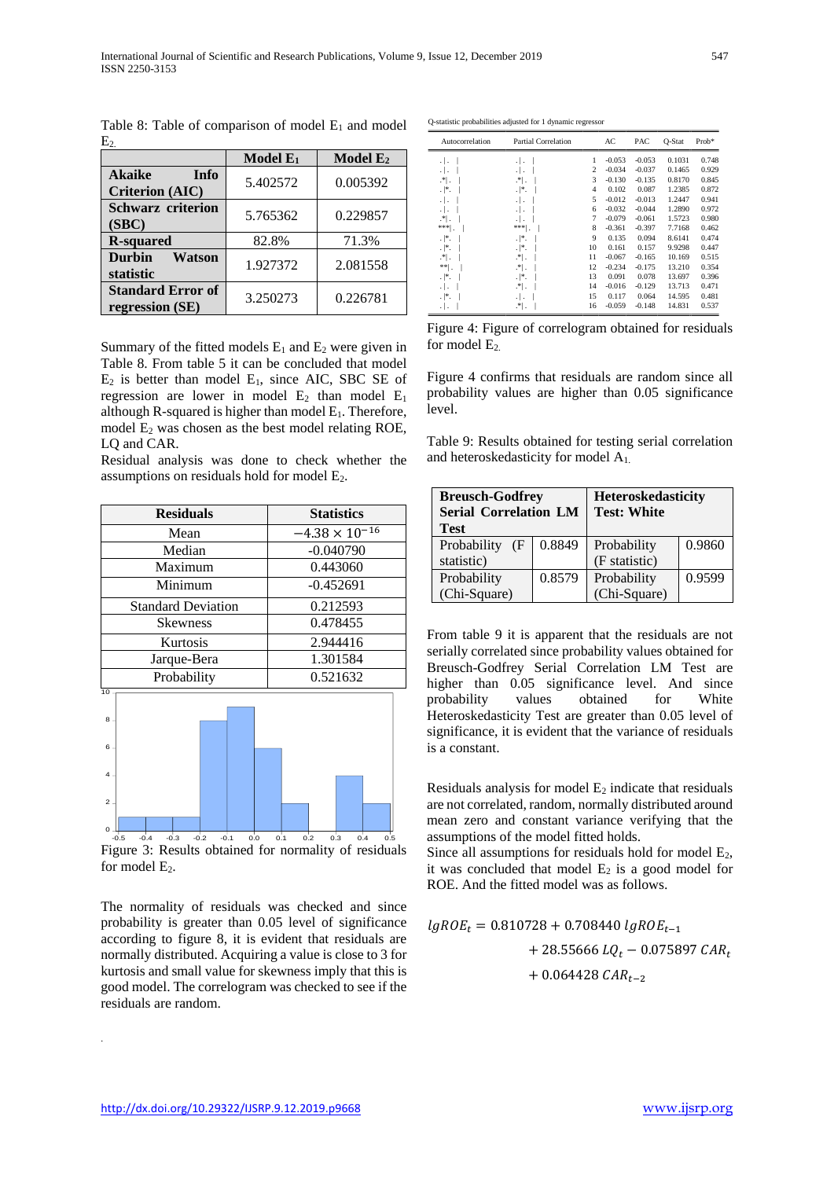|                                                        | Model E <sub>1</sub> | Model E <sub>2</sub> |
|--------------------------------------------------------|----------------------|----------------------|
| <b>Akaike</b><br><b>Info</b><br><b>Criterion (AIC)</b> | 5.402572             | 0.005392             |
| <b>Schwarz criterion</b><br>(SBC)                      | 5.765362             | 0.229857             |
| <b>R-squared</b>                                       | 82.8%                | 71.3%                |
| <b>Durbin</b><br><b>Watson</b><br>statistic            | 1.927372             | 2.081558             |
| <b>Standard Error of</b><br>regression (SE)            | 3.250273             | 0.226781             |

Table 8: Table of comparison of model  $E_1$  and model  $E<sub>2</sub>$ 

Summary of the fitted models  $E_1$  and  $E_2$  were given in Table 8. From table 5 it can be concluded that model  $E_2$  is better than model  $E_1$ , since AIC, SBC SE of regression are lower in model  $E_2$  than model  $E_1$ although R-squared is higher than model  $E_1$ . Therefore, model  $E_2$  was chosen as the best model relating ROE, LO and CAR.

Residual analysis was done to check whether the assumptions on residuals hold for model E2.

| <b>Residuals</b>          | <b>Statistics</b>       |
|---------------------------|-------------------------|
| Mean                      | $-4.38 \times 10^{-16}$ |
| Median                    | $-0.040790$             |
| Maximum                   | 0.443060                |
| Minimum                   | $-0.452691$             |
| <b>Standard Deviation</b> | 0.212593                |
| <b>Skewness</b>           | 0.478455                |
| Kurtosis                  | 2.944416                |
| Jarque-Bera               | 1.301584                |
| Probability               | 0.521632                |
| 10                        |                         |



Figure 3: Results obtained for normality of residuals for model  $E_2$ .

The normality of residuals was checked and since probability is greater than 0.05 level of significance according to figure 8, it is evident that residuals are normally distributed. Acquiring a value is close to 3 for kurtosis and small value for skewness imply that this is good model. The correlogram was checked to see if the residuals are random.

Q-statistic probabilities adjusted for 1 dynamic regressor

| Autocorrelation | <b>Partial Correlation</b> |    | AC       | PAC      | Q-Stat | Prob* |
|-----------------|----------------------------|----|----------|----------|--------|-------|
| $\cdot$ $\cdot$ | $\cdot$ .                  | 1  | $-0.053$ | $-0.053$ | 0.1031 | 0.748 |
| $\cdot$ $\cdot$ | .                          | 2  | $-0.034$ | $-0.037$ | 0.1465 | 0.929 |
| $\mathcal{F}$ . | $\mathbb{R}^*$ .           | 3  | $-0.130$ | $-0.135$ | 0.8170 | 0.845 |
| .∤*.            | $.  $ *.                   | 4  | 0.102    | 0.087    | 1.2385 | 0.872 |
| $\cdot$ .       | $\cdot$ .                  | 5  | $-0.012$ | $-0.013$ | 1.2447 | 0.941 |
| .   .           | .                          | 6  | $-0.032$ | $-0.044$ | 1.2890 | 0.972 |
| .획.             | .                          | 7  | $-0.079$ | $-0.061$ | 1.5723 | 0.980 |
| $* * *$         | *** <br>×                  | 8  | $-0.361$ | $-0.397$ | 7.7168 | 0.462 |
| .∣*.            | .  *.                      | 9  | 0.135    | 0.094    | 8.6141 | 0.474 |
| .∣*.            | $.  $ *.                   | 10 | 0.161    | 0.157    | 9.9298 | 0.447 |
| .획.             | $\mathbb{R}^*$ .           | 11 | $-0.067$ | $-0.165$ | 10.169 | 0.515 |
| ** .            | $\mathbb{R}^*$ .           | 12 | $-0.234$ | $-0.175$ | 13.210 | 0.354 |
| $.  $ *.        | $\cdot$  *.                | 13 | 0.091    | 0.078    | 13.697 | 0.396 |
| $\cdot$ .       | .* .                       | 14 | $-0.016$ | $-0.129$ | 13.713 | 0.471 |
| .  *.           | .                          | 15 | 0.117    | 0.064    | 14.595 | 0.481 |
| .               | .*∣.                       | 16 | $-0.059$ | $-0.148$ | 14.831 | 0.537 |

Figure 4: Figure of correlogram obtained for residuals for model  $E_2$ .

Figure 4 confirms that residuals are random since all probability values are higher than 0.05 significance level.

Table 9: Results obtained for testing serial correlation and heteroskedasticity for model A1.

| <b>Breusch-Godfrey</b><br><b>Serial Correlation LM</b><br><b>Test</b> |        | <b>Heteroskedasticity</b><br><b>Test: White</b> |        |  |  |
|-----------------------------------------------------------------------|--------|-------------------------------------------------|--------|--|--|
| Probability<br>Œ                                                      | 0.8849 | Probability                                     | 0.9860 |  |  |
| statistic)                                                            |        | (F statistic)                                   |        |  |  |
| Probability                                                           | 0.8579 | Probability                                     | 0.9599 |  |  |
| (Chi-Square)                                                          |        | (Chi-Square)                                    |        |  |  |

probability values obtained for White Heteroskedasticity Test are greater than 0.05 level of significance, it is evident that the variance of residuals is a constant. From table 9 it is apparent that the residuals are not serially correlated since probability values obtained for Breusch-Godfrey Serial Correlation LM Test are higher than 0.05 significance level. And since

Residuals analysis for model  $E_2$  indicate that residuals are not correlated, random, normally distributed around mean zero and constant variance verifying that the assumptions of the model fitted holds.

Since all assumptions for residuals hold for model  $E_2$ , it was concluded that model  $E_2$  is a good model for ROE. And the fitted model was as follows.

$$
lgROE_t = 0.810728 + 0.708440 lgROE_{t-1}
$$
  
+ 28.55666 LQ<sub>t</sub> - 0.075897 CAR<sub>t</sub>  
+ 0.064428 CAR<sub>t-2</sub>

.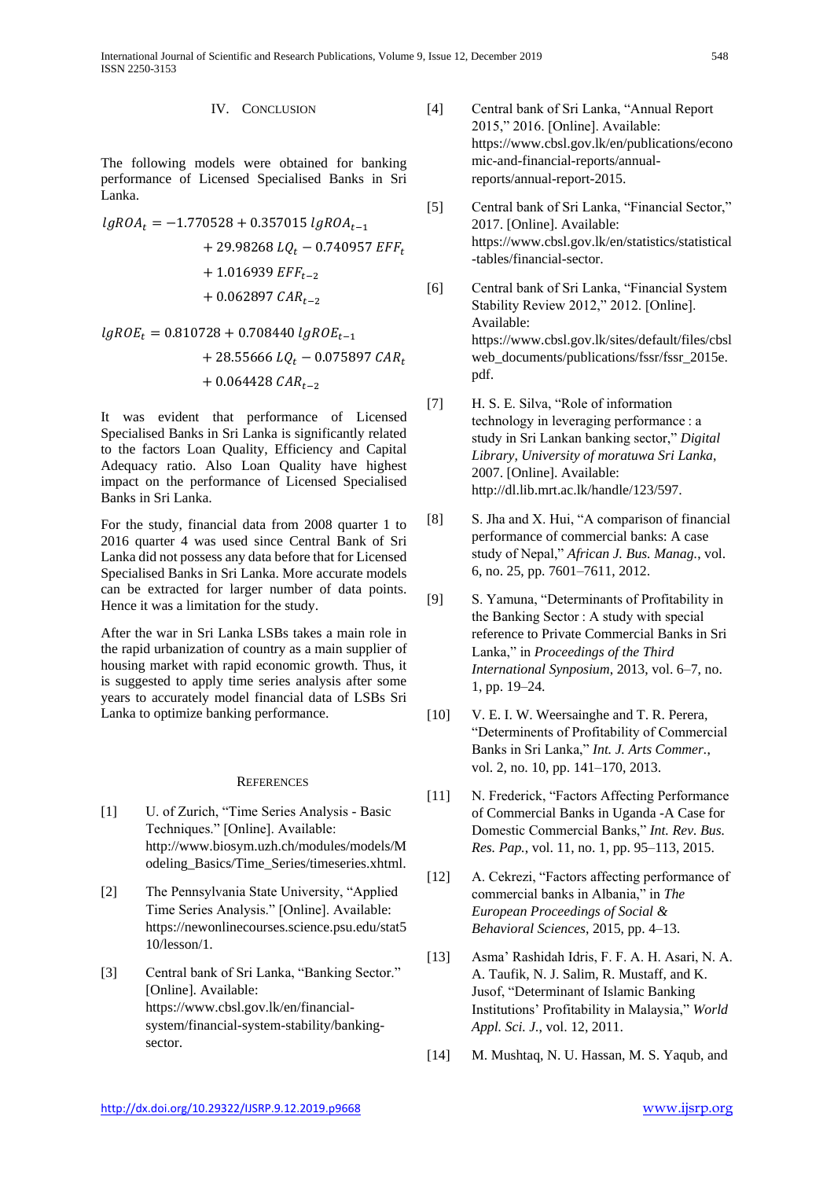IV. CONCLUSION

The following models were obtained for banking performance of Licensed Specialised Banks in Sri Lanka.

$$
lgROA_t = -1.770528 + 0.357015 lgROA_{t-1}
$$
  
+ 29.98268 LQ<sub>t</sub> - 0.740957 EFF<sub>t</sub>  
+ 1.016939 EFF<sub>t-2</sub>  
+ 0.062897 CAR<sub>t-2</sub>

$$
lgROE_t = 0.810728 + 0.708440 lgROE_{t-1}
$$
  
+ 28.55666 LQ<sub>t</sub> - 0.075897 CAR<sub>t</sub>  
+ 0.064428 CAR<sub>t-2</sub>

It was evident that performance of Licensed Specialised Banks in Sri Lanka is significantly related to the factors Loan Quality, Efficiency and Capital Adequacy ratio. Also Loan Quality have highest impact on the performance of Licensed Specialised Banks in Sri Lanka.

For the study, financial data from 2008 quarter 1 to 2016 quarter 4 was used since Central Bank of Sri Lanka did not possess any data before that for Licensed Specialised Banks in Sri Lanka. More accurate models can be extracted for larger number of data points. Hence it was a limitation for the study.

After the war in Sri Lanka LSBs takes a main role in the rapid urbanization of country as a main supplier of housing market with rapid economic growth. Thus, it is suggested to apply time series analysis after some years to accurately model financial data of LSBs Sri Lanka to optimize banking performance.

#### **REFERENCES**

- [1] U. of Zurich, "Time Series Analysis Basic Techniques." [Online]. Available: http://www.biosym.uzh.ch/modules/models/M odeling\_Basics/Time\_Series/timeseries.xhtml.
- [2] The Pennsylvania State University, "Applied Time Series Analysis." [Online]. Available: https://newonlinecourses.science.psu.edu/stat5 10/lesson/1.
- [3] Central bank of Sri Lanka, "Banking Sector." [Online]. Available: https://www.cbsl.gov.lk/en/financialsystem/financial-system-stability/bankingsector.
- [4] Central bank of Sri Lanka, "Annual Report 2015," 2016. [Online]. Available: https://www.cbsl.gov.lk/en/publications/econo mic-and-financial-reports/annualreports/annual-report-2015.
- [5] Central bank of Sri Lanka, "Financial Sector," 2017. [Online]. Available: https://www.cbsl.gov.lk/en/statistics/statistical -tables/financial-sector.
- [6] Central bank of Sri Lanka, "Financial System Stability Review 2012," 2012. [Online]. Available: https://www.cbsl.gov.lk/sites/default/files/cbsl web\_documents/publications/fssr/fssr\_2015e. pdf.
- [7] H. S. E. Silva, "Role of information technology in leveraging performance : a study in Sri Lankan banking sector," *Digital Library, University of moratuwa Sri Lanka*, 2007. [Online]. Available: http://dl.lib.mrt.ac.lk/handle/123/597.
- [8] S. Jha and X. Hui, "A comparison of financial performance of commercial banks: A case study of Nepal," *African J. Bus. Manag.*, vol. 6, no. 25, pp. 7601–7611, 2012.
- [9] S. Yamuna, "Determinants of Profitability in the Banking Sector : A study with special reference to Private Commercial Banks in Sri Lanka," in *Proceedings of the Third International Synposium*, 2013, vol. 6–7, no. 1, pp. 19–24.
- [10] V. E. I. W. Weersainghe and T. R. Perera, "Determinents of Profitability of Commercial Banks in Sri Lanka," *Int. J. Arts Commer.*, vol. 2, no. 10, pp. 141–170, 2013.
- [11] N. Frederick, "Factors Affecting Performance" of Commercial Banks in Uganda -A Case for Domestic Commercial Banks," *Int. Rev. Bus. Res. Pap.*, vol. 11, no. 1, pp. 95–113, 2015.
- [12] A. Cekrezi, "Factors affecting performance of commercial banks in Albania," in *The European Proceedings of Social & Behavioral Sciences*, 2015, pp. 4–13.
- [13] Asma' Rashidah Idris, F. F. A. H. Asari, N. A. A. Taufik, N. J. Salim, R. Mustaff, and K. Jusof, "Determinant of Islamic Banking Institutions' Profitability in Malaysia," *World Appl. Sci. J.*, vol. 12, 2011.
- [14] M. Mushtaq, N. U. Hassan, M. S. Yaqub, and